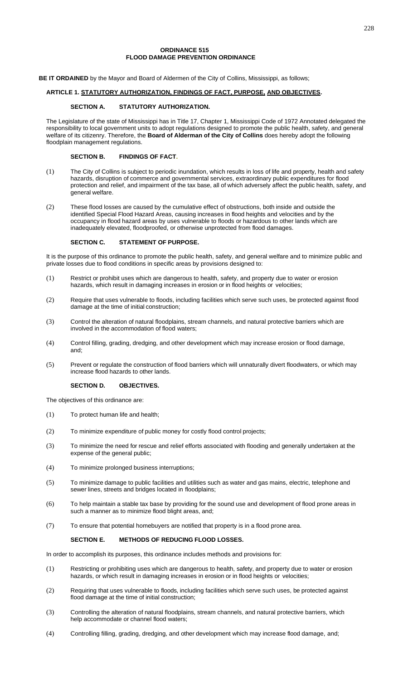### **ORDINANCE 515 FLOOD DAMAGE PREVENTION ORDINANCE**

**BE IT ORDAINED** by the Mayor and Board of Aldermen of the City of Collins, Mississippi, as follows;

# **ARTICLE 1. STATUTORY AUTHORIZATION, FINDINGS OF FACT, PURPOSE, AND OBJECTIVES.**

## **SECTION A. STATUTORY AUTHORIZATION.**

The Legislature of the state of Mississippi has in Title 17, Chapter 1, Mississippi Code of 1972 Annotated delegated the responsibility to local government units to adopt regulations designed to promote the public health, safety, and general welfare of its citizenry. Therefore, the **Board of Alderman of the City of Collins** does hereby adopt the following floodplain management regulations.

# **SECTION B. FINDINGS OF FACT.**

- (1) The City of Collins is subject to periodic inundation, which results in loss of life and property, health and safety hazards, disruption of commerce and governmental services, extraordinary public expenditures for flood protection and relief, and impairment of the tax base, all of which adversely affect the public health, safety, and general welfare.
- (2) These flood losses are caused by the cumulative effect of obstructions, both inside and outside the identified Special Flood Hazard Areas, causing increases in flood heights and velocities and by the occupancy in flood hazard areas by uses vulnerable to floods or hazardous to other lands which are inadequately elevated, floodproofed, or otherwise unprotected from flood damages.

### **SECTION C. STATEMENT OF PURPOSE.**

It is the purpose of this ordinance to promote the public health, safety, and general welfare and to minimize public and private losses due to flood conditions in specific areas by provisions designed to:

- (1) Restrict or prohibit uses which are dangerous to health, safety, and property due to water or erosion hazards, which result in damaging increases in erosion or in flood heights or velocities;
- (2) Require that uses vulnerable to floods, including facilities which serve such uses, be protected against flood damage at the time of initial construction;
- (3) Control the alteration of natural floodplains, stream channels, and natural protective barriers which are involved in the accommodation of flood waters;
- (4) Control filling, grading, dredging, and other development which may increase erosion or flood damage, and;
- (5) Prevent or regulate the construction of flood barriers which will unnaturally divert floodwaters, or which may increase flood hazards to other lands.

## **SECTION D. OBJECTIVES.**

The objectives of this ordinance are:

- (1) To protect human life and health;
- (2) To minimize expenditure of public money for costly flood control projects;
- (3) To minimize the need for rescue and relief efforts associated with flooding and generally undertaken at the expense of the general public;
- (4) To minimize prolonged business interruptions;
- (5) To minimize damage to public facilities and utilities such as water and gas mains, electric, telephone and sewer lines, streets and bridges located in floodplains;
- (6) To help maintain a stable tax base by providing for the sound use and development of flood prone areas in such a manner as to minimize flood blight areas, and;
- (7) To ensure that potential homebuyers are notified that property is in a flood prone area.

# **SECTION E. METHODS OF REDUCING FLOOD LOSSES.**

In order to accomplish its purposes, this ordinance includes methods and provisions for:

- (1) Restricting or prohibiting uses which are dangerous to health, safety, and property due to water or erosion hazards, or which result in damaging increases in erosion or in flood heights or velocities;
- (2) Requiring that uses vulnerable to floods, including facilities which serve such uses, be protected against flood damage at the time of initial construction;
- (3) Controlling the alteration of natural floodplains, stream channels, and natural protective barriers, which help accommodate or channel flood waters;
- (4) Controlling filling, grading, dredging, and other development which may increase flood damage, and;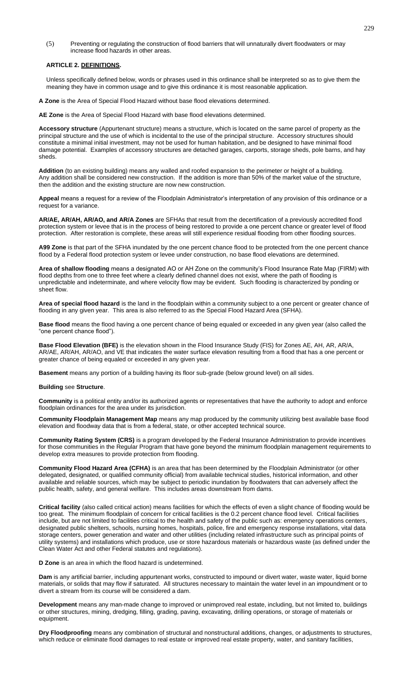(5) Preventing or regulating the construction of flood barriers that will unnaturally divert floodwaters or may increase flood hazards in other areas.

#### **ARTICLE 2. DEFINITIONS.**

Unless specifically defined below, words or phrases used in this ordinance shall be interpreted so as to give them the meaning they have in common usage and to give this ordinance it is most reasonable application.

**A Zone** is the Area of Special Flood Hazard without base flood elevations determined.

**AE Zone** is the Area of Special Flood Hazard with base flood elevations determined.

**Accessory structure** (Appurtenant structure) means a structure, which is located on the same parcel of property as the principal structure and the use of which is incidental to the use of the principal structure. Accessory structures should constitute a minimal initial investment, may not be used for human habitation, and be designed to have minimal flood damage potential. Examples of accessory structures are detached garages, carports, storage sheds, pole barns, and hay sheds.

**Addition** (to an existing building) means any walled and roofed expansion to the perimeter or height of a building. Any addition shall be considered new construction. If the addition is more than 50% of the market value of the structure, then the addition and the existing structure are now new construction.

**Appeal** means a request for a review of the Floodplain Administrator's interpretation of any provision of this ordinance or a request for a variance.

**AR/AE, AR/AH, AR/AO, and AR/A Zones** are SFHAs that result from the decertification of a previously accredited flood protection system or levee that is in the process of being restored to provide a one percent chance or greater level of flood protection. After restoration is complete, these areas will still experience residual flooding from other flooding sources.

**A99 Zone** is that part of the SFHA inundated by the one percent chance flood to be protected from the one percent chance flood by a Federal flood protection system or levee under construction, no base flood elevations are determined.

**Area of shallow flooding** means a designated AO or AH Zone on the community's Flood Insurance Rate Map (FIRM) with flood depths from one to three feet where a clearly defined channel does not exist, where the path of flooding is unpredictable and indeterminate, and where velocity flow may be evident. Such flooding is characterized by ponding or sheet flow.

**Area of special flood hazard** is the land in the floodplain within a community subject to a one percent or greater chance of flooding in any given year. This area is also referred to as the Special Flood Hazard Area (SFHA).

**Base flood** means the flood having a one percent chance of being equaled or exceeded in any given year (also called the "one percent chance flood").

**Base Flood Elevation (BFE)** is the elevation shown in the Flood Insurance Study (FIS) for Zones AE, AH, AR, AR/A, AR/AE, AR/AH, AR/AO, and VE that indicates the water surface elevation resulting from a flood that has a one percent or greater chance of being equaled or exceeded in any given year.

**Basement** means any portion of a building having its floor sub-grade (below ground level) on all sides.

#### **Building** see **Structure**.

**Community** is a political entity and/or its authorized agents or representatives that have the authority to adopt and enforce floodplain ordinances for the area under its jurisdiction.

**Community Floodplain Management Map** means any map produced by the community utilizing best available base flood elevation and floodway data that is from a federal, state, or other accepted technical source.

**Community Rating System (CRS)** is a program developed by the Federal Insurance Administration to provide incentives for those communities in the Regular Program that have gone beyond the minimum floodplain management requirements to develop extra measures to provide protection from flooding.

**Community Flood Hazard Area (CFHA)** is an area that has been determined by the Floodplain Administrator (or other delegated, designated, or qualified community official) from available technical studies, historical information, and other available and reliable sources, which may be subject to periodic inundation by floodwaters that can adversely affect the public health, safety, and general welfare. This includes areas downstream from dams.

**Critical facility** (also called critical action) means facilities for which the effects of even a slight chance of flooding would be too great. The minimum floodplain of concern for critical facilities is the 0.2 percent chance flood level. Critical facilities include, but are not limited to facilities critical to the health and safety of the public such as: emergency operations centers, designated public shelters, schools, nursing homes, hospitals, police, fire and emergency response installations, vital data storage centers, power generation and water and other utilities (including related infrastructure such as principal points of utility systems) and installations which produce, use or store hazardous materials or hazardous waste (as defined under the Clean Water Act and other Federal statutes and regulations).

**D Zone** is an area in which the flood hazard is undetermined.

**Dam** is any artificial barrier, including appurtenant works, constructed to impound or divert water, waste water, liquid borne materials, or solids that may flow if saturated. All structures necessary to maintain the water level in an impoundment or to divert a stream from its course will be considered a dam.

**Development** means any man-made change to improved or unimproved real estate, including, but not limited to, buildings or other structures, mining, dredging, filling, grading, paving, excavating, drilling operations, or storage of materials or equipment.

**Dry Floodproofing** means any combination of structural and nonstructural additions, changes, or adjustments to structures, which reduce or eliminate flood damages to real estate or improved real estate property, water, and sanitary facilities,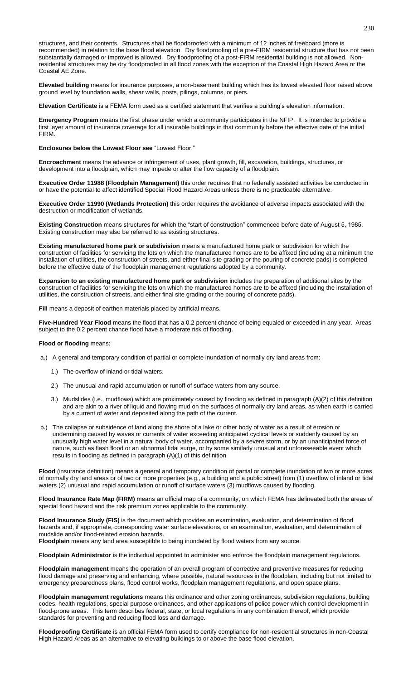structures, and their contents. Structures shall be floodproofed with a minimum of 12 inches of freeboard (more is recommended) in relation to the base flood elevation. Dry floodproofing of a pre-FIRM residential structure that has not been substantially damaged or improved is allowed. Dry floodproofing of a post-FIRM residential building is not allowed. Nonresidential structures may be dry floodproofed in all flood zones with the exception of the Coastal High Hazard Area or the Coastal AE Zone.

**Elevated building** means for insurance purposes, a non-basement building which has its lowest elevated floor raised above ground level by foundation walls, shear walls, posts, pilings, columns, or piers.

**Elevation Certificate** is a FEMA form used as a certified statement that verifies a building's elevation information.

**Emergency Program** means the first phase under which a community participates in the NFIP. It is intended to provide a first layer amount of insurance coverage for all insurable buildings in that community before the effective date of the initial FIRM.

**Enclosures below the Lowest Floor see** "Lowest Floor."

**Encroachment** means the advance or infringement of uses, plant growth, fill, excavation, buildings, structures, or development into a floodplain, which may impede or alter the flow capacity of a floodplain.

**Executive Order 11988 (Floodplain Management)** this order requires that no federally assisted activities be conducted in or have the potential to affect identified Special Flood Hazard Areas unless there is no practicable alternative.

**Executive Order 11990 (Wetlands Protection)** this order requires the avoidance of adverse impacts associated with the destruction or modification of wetlands.

**Existing Construction** means structures for which the "start of construction" commenced before date of August 5, 1985. Existing construction may also be referred to as existing structures.

**Existing manufactured home park or subdivision** means a manufactured home park or subdivision for which the construction of facilities for servicing the lots on which the manufactured homes are to be affixed (including at a minimum the installation of utilities, the construction of streets, and either final site grading or the pouring of concrete pads) is completed before the effective date of the floodplain management regulations adopted by a community.

**Expansion to an existing manufactured home park or subdivision** includes the preparation of additional sites by the construction of facilities for servicing the lots on which the manufactured homes are to be affixed (including the installation of utilities, the construction of streets, and either final site grading or the pouring of concrete pads).

**Fill** means a deposit of earthen materials placed by artificial means.

**Five-Hundred Year Flood** means the flood that has a 0.2 percent chance of being equaled or exceeded in any year. Areas subject to the 0.2 percent chance flood have a moderate risk of flooding.

**Flood or flooding** means:

- a.) A general and temporary condition of partial or complete inundation of normally dry land areas from:
	- 1.) The overflow of inland or tidal waters.
	- 2.) The unusual and rapid accumulation or runoff of surface waters from any source.
	- 3.) Mudslides (i.e., mudflows) which are proximately caused by flooding as defined in paragraph (A)(2) of this definition and are akin to a river of liquid and flowing mud on the surfaces of normally dry land areas, as when earth is carried by a current of water and deposited along the path of the current.
- b.) The collapse or subsidence of land along the shore of a lake or other body of water as a result of erosion or undermining caused by waves or currents of water exceeding anticipated cyclical levels or suddenly caused by an unusually high water level in a natural body of water, accompanied by a severe storm, or by an unanticipated force of nature, such as flash flood or an abnormal tidal surge, or by some similarly unusual and unforeseeable event which results in flooding as defined in paragraph (A)(1) of this definition

**Flood** (insurance definition) means a general and temporary condition of partial or complete inundation of two or more acres of normally dry land areas or of two or more properties (e.g., a building and a public street) from (1) overflow of inland or tidal waters (2) unusual and rapid accumulation or runoff of surface waters (3) mudflows caused by flooding.

**Flood Insurance Rate Map (FIRM)** means an official map of a community, on which FEMA has delineated both the areas of special flood hazard and the risk premium zones applicable to the community.

**Flood Insurance Study (FIS)** is the document which provides an examination, evaluation, and determination of flood hazards and, if appropriate, corresponding water surface elevations, or an examination, evaluation, and determination of mudslide and/or flood-related erosion hazards.

**Floodplain** means any land area susceptible to being inundated by flood waters from any source.

**Floodplain Administrator** is the individual appointed to administer and enforce the floodplain management regulations.

**Floodplain management** means the operation of an overall program of corrective and preventive measures for reducing flood damage and preserving and enhancing, where possible, natural resources in the floodplain, including but not limited to emergency preparedness plans, flood control works, floodplain management regulations, and open space plans.

**Floodplain management regulations** means this ordinance and other zoning ordinances, subdivision regulations, building codes, health regulations, special purpose ordinances, and other applications of police power which control development in flood-prone areas. This term describes federal, state, or local regulations in any combination thereof, which provide standards for preventing and reducing flood loss and damage.

**Floodproofing Certificate** is an official FEMA form used to certify compliance for non-residential structures in non-Coastal High Hazard Areas as an alternative to elevating buildings to or above the base flood elevation.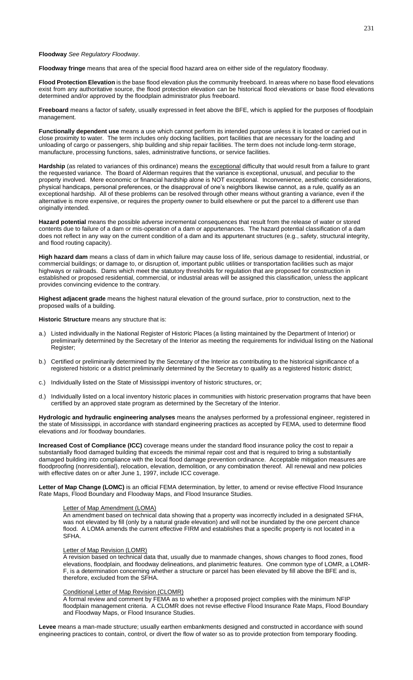#### **Floodway** *See Regulatory Floodway*.

**Floodway fringe** means that area of the special flood hazard area on either side of the regulatory floodway.

**Flood Protection Elevation** is the base flood elevation plus the community freeboard. In areas where no base flood elevations exist from any authoritative source, the flood protection elevation can be historical flood elevations or base flood elevations determined and/or approved by the floodplain administrator plus freeboard.

**Freeboard** means a factor of safety, usually expressed in feet above the BFE, which is applied for the purposes of floodplain management.

**Functionally dependent use** means a use which cannot perform its intended purpose unless it is located or carried out in close proximity to water. The term includes only docking facilities, port facilities that are necessary for the loading and unloading of cargo or passengers, ship building and ship repair facilities. The term does not include long-term storage, manufacture, processing functions, sales, administrative functions, or service facilities.

Hardship (as related to variances of this ordinance) means the exceptional difficulty that would result from a failure to grant the requested variance. The Board of Alderman requires that the variance is exceptional, unusual, and peculiar to the property involved. Mere economic or financial hardship alone is NOT exceptional. Inconvenience, aesthetic considerations, physical handicaps, personal preferences, or the disapproval of one's neighbors likewise cannot, as a rule, qualify as an exceptional hardship. All of these problems can be resolved through other means without granting a variance, even if the alternative is more expensive, or requires the property owner to build elsewhere or put the parcel to a different use than originally intended.

**Hazard potential** means the possible adverse incremental consequences that result from the release of water or stored contents due to failure of a dam or mis-operation of a dam or appurtenances. The hazard potential classification of a dam does not reflect in any way on the current condition of a dam and its appurtenant structures (e.g., safety, structural integrity, and flood routing capacity).

**High hazard dam** means a class of dam in which failure may cause loss of life, serious damage to residential, industrial, or commercial buildings; or damage to, or disruption of, important public utilities or transportation facilities such as major highways or railroads. Dams which meet the statutory thresholds for regulation that are proposed for construction in established or proposed residential, commercial, or industrial areas will be assigned this classification, unless the applicant provides convincing evidence to the contrary.

**Highest adjacent grade** means the highest natural elevation of the ground surface, prior to construction, next to the proposed walls of a building.

**Historic Structure** means any structure that is:

- a.) Listed individually in the National Register of Historic Places (a listing maintained by the Department of Interior) or preliminarily determined by the Secretary of the Interior as meeting the requirements for individual listing on the National Register;
- b.) Certified or preliminarily determined by the Secretary of the Interior as contributing to the historical significance of a registered historic or a district preliminarily determined by the Secretary to qualify as a registered historic district;
- c.) Individually listed on the State of Mississippi inventory of historic structures, or;
- d.) Individually listed on a local inventory historic places in communities with historic preservation programs that have been certified by an approved state program as determined by the Secretary of the Interior.

**Hydrologic and hydraulic engineering analyses** means the analyses performed by a professional engineer, registered in the state of Mississippi, in accordance with standard engineering practices as accepted by FEMA, used to determine flood elevations and /or floodway boundaries.

**Increased Cost of Compliance (ICC)** coverage means under the standard flood insurance policy the cost to repair a substantially flood damaged building that exceeds the minimal repair cost and that is required to bring a substantially damaged building into compliance with the local flood damage prevention ordinance. Acceptable mitigation measures are floodproofing (nonresidential), relocation, elevation, demolition, or any combination thereof. All renewal and new policies with effective dates on or after June 1, 1997, include ICC coverage.

Letter of Map Change (LOMC) is an official FEMA determination, by letter, to amend or revise effective Flood Insurance Rate Maps, Flood Boundary and Floodway Maps, and Flood Insurance Studies.

# Letter of Map Amendment (LOMA)

An amendment based on technical data showing that a property was incorrectly included in a designated SFHA, was not elevated by fill (only by a natural grade elevation) and will not be inundated by the one percent chance flood. A LOMA amends the current effective FIRM and establishes that a specific property is not located in a SFHA.

#### Letter of Map Revision (LOMR)

A revision based on technical data that, usually due to manmade changes, shows changes to flood zones, flood elevations, floodplain, and floodway delineations, and planimetric features. One common type of LOMR, a LOMR-F, is a determination concerning whether a structure or parcel has been elevated by fill above the BFE and is, therefore, excluded from the SFHA.

### Conditional Letter of Map Revision (CLOMR)

A formal review and comment by FEMA as to whether a proposed project complies with the minimum NFIP floodplain management criteria. A CLOMR does not revise effective Flood Insurance Rate Maps, Flood Boundary and Floodway Maps, or Flood Insurance Studies.

**Levee** means a man-made structure; usually earthen embankments designed and constructed in accordance with sound engineering practices to contain, control, or divert the flow of water so as to provide protection from temporary flooding.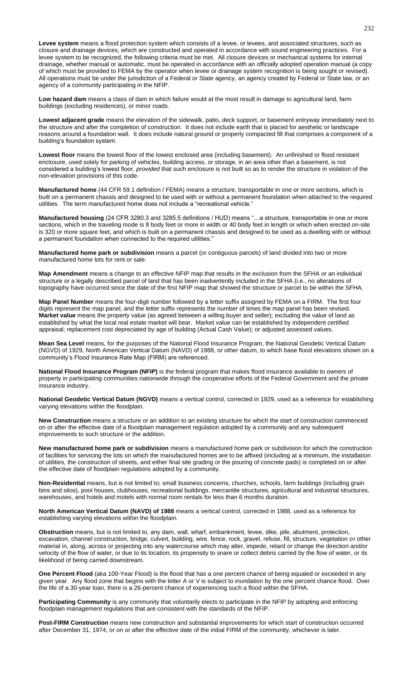Levee system means a flood protection system which consists of a levee, or levees, and associated structures, such as closure and drainage devices, which are constructed and operated in accordance with sound engineering practices. For a levee system to be recognized, the following criteria must be met. All closure devices or mechanical systems for internal drainage, whether manual or automatic, must be operated in accordance with an officially adopted operation manual (a copy of which must be provided to FEMA by the operator when levee or drainage system recognition is being sought or revised). All operations must be under the jurisdiction of a Federal or State agency, an agency created by Federal or State law, or an agency of a community participating in the NFIP.

**Low hazard dam** means a class of dam in which failure would at the most result in damage to agricultural land, farm buildings (excluding residences), or minor roads.

**Lowest adjacent grade** means the elevation of the sidewalk, patio, deck support, or basement entryway immediately next to the structure and after the completion of construction. It does not include earth that is placed for aesthetic or landscape reasons around a foundation wall. It does include natural ground or properly compacted fill that comprises a component of a building's foundation system.

**Lowest floor** means the lowest floor of the lowest enclosed area (including basement). An unfinished or flood resistant enclosure, used solely for parking of vehicles, building access, or storage, in an area other than a basement, is not considered a building's lowest floor, *provided* that such enclosure is not built so as to render the structure in violation of the non-elevation provisions of this code.

**Manufactured home** (44 CFR 59.1 definition / FEMA) means a structure, transportable in one or more sections, which is built on a permanent chassis and designed to be used with or without a permanent foundation when attached to the required utilities. The term manufactured home does not include a "recreational vehicle."

**Manufactured housing** (24 CFR 3280.3 and 3285.5 definitions / HUD) means "…a structure, transportable in one or more sections, which in the traveling mode is 8 body feet or more in width or 40 body feet in length or which when erected on-site is 320 or more square feet, and which is built on a permanent chassis and designed to be used as a dwelling with or without a permanent foundation when connected to the required utilities."

**Manufactured home park or subdivision** means a parcel (or contiguous parcels) of land divided into two or more manufactured home lots for rent or sale.

**Map Amendment** means a change to an effective NFIP map that results in the exclusion from the SFHA or an individual structure or a legally described parcel of land that has been inadvertently included in the SFHA (i.e., no alterations of topography have occurred since the date of the first NFIP map that showed the structure or parcel to be within the SFHA.

**Map Panel Number** means the four-digit number followed by a letter suffix assigned by FEMA on a FIRM. The first four digits represent the map panel, and the letter suffix represents the number of times the map panel has been revised. **Market value** means the property value (as agreed between a willing buyer and seller); excluding the value of land as established by what the local real estate market will bear. Market value can be established by independent certified appraisal; replacement cost depreciated by age of building (Actual Cash Value); or adjusted assessed values.

**Mean Sea Level** means, for the purposes of the National Flood Insurance Program, the National Geodetic Vertical Datum (NGVD) of 1929, North American Vertical Datum (NAVD) of 1988, or other datum, to which base flood elevations shown on a community's Flood Insurance Rate Map (FIRM) are referenced.

**National Flood Insurance Program (NFIP)** is the federal program that makes flood insurance available to owners of property in participating communities nationwide through the cooperative efforts of the Federal Government and the private insurance industry.

**National Geodetic Vertical Datum (NGVD)** means a vertical control, corrected in 1929, used as a reference for establishing varying elevations within the floodplain.

**New Construction** means a structure or an addition to an existing structure for which the start of construction commenced on or after the effective date of a floodplain management regulation adopted by a community and any subsequent improvements to such structure or the addition.

**New manufactured home park or subdivision** means a manufactured home park or subdivision for which the construction of facilities for servicing the lots on which the manufactured homes are to be affixed (including at a minimum, the installation of utilities, the construction of streets, and either final site grading or the pouring of concrete pads) is completed on or after the effective date of floodplain regulations adopted by a community.

**Non-Residential** means, but is not limited to; small business concerns, churches, schools, farm buildings (including grain bins and silos), pool houses, clubhouses, recreational buildings, mercantile structures, agricultural and industrial structures, warehouses, and hotels and motels with normal room rentals for less than 6 months duration.

**North American Vertical Datum (NAVD) of 1988** means a vertical control, corrected in 1988, used as a reference for establishing varying elevations within the floodplain.

**Obstruction** means, but is not limited to, any dam, wall, wharf, embankment, levee, dike, pile, abutment, protection, excavation, channel construction, bridge, culvert, building, wire, fence, rock, gravel, refuse, fill, structure, vegetation or other material in, along, across or projecting into any watercourse which may alter, impede, retard or change the direction and/or velocity of the flow of water, or due to its location, its propensity to snare or collect debris carried by the flow of water, or its likelihood of being carried downstream.

**One Percent Flood** (aka 100-Year Flood) is the flood that has a one percent chance of being equaled or exceeded in any given year. Any flood zone that begins with the letter A or V is subject to inundation by the one percent chance flood. Over the life of a 30-year loan, there is a 26-percent chance of experiencing such a flood within the SFHA.

**Participating Community** is any community that voluntarily elects to participate in the NFIP by adopting and enforcing floodplain management regulations that are consistent with the standards of the NFIP.

**Post-FIRM Construction** means new construction and substantial improvements for which start of construction occurred after December 31, 1974, or on or after the effective date of the initial FIRM of the community, whichever is later.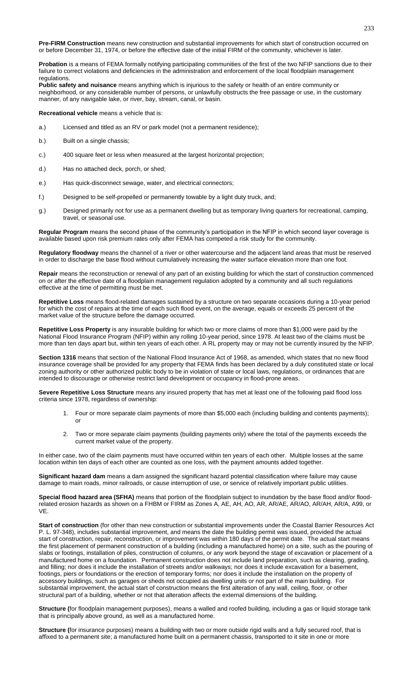**Pre-FIRM Construction** means new construction and substantial improvements for which start of construction occurred on or before December 31, 1974, or before the effective date of the initial FIRM of the community, whichever is later.

**Probation** is a means of FEMA formally notifying participating communities of the first of the two NFIP sanctions due to their failure to correct violations and deficiencies in the administration and enforcement of the local floodplain management regulations.

**Public safety and nuisance** means anything which is injurious to the safety or health of an entire community or neighborhood, or any considerable number of persons, or unlawfully obstructs the free passage or use, in the customary manner, of any navigable lake, or river, bay, stream, canal, or basin.

**Recreational vehicle** means a vehicle that is:

- a.) Licensed and titled as an RV or park model (not a permanent residence);
- b.) Built on a single chassis;
- c.) 400 square feet or less when measured at the largest horizontal projection;
- d.) Has no attached deck, porch, or shed;
- e.) Has quick-disconnect sewage, water, and electrical connectors;
- f.) Designed to be self-propelled or permanently towable by a light duty truck, and;
- g.) Designed primarily not for use as a permanent dwelling but as temporary living quarters for recreational, camping, travel, or seasonal use.

**Regular Program** means the second phase of the community's participation in the NFIP in which second layer coverage is available based upon risk premium rates only after FEMA has competed a risk study for the community.

**Regulatory floodway** means the channel of a river or other watercourse and the adjacent land areas that must be reserved in order to discharge the base flood without cumulatively increasing the water surface elevation more than one foot.

**Repair** means the reconstruction or renewal of any part of an existing building for which the start of construction commenced on or after the effective date of a floodplain management regulation adopted by a community and all such regulations effective at the time of permitting must be met.

**Repetitive Loss** means flood-related damages sustained by a structure on two separate occasions during a 10-year period for which the cost of repairs at the time of each such flood event, on the average, equals or exceeds 25 percent of the market value of the structure before the damage occurred.

**Repetitive Loss Property** is any insurable building for which two or more claims of more than \$1,000 were paid by the National Flood Insurance Program (NFIP) within any rolling 10-year period, since 1978. At least two of the claims must be more than ten days apart but, within ten years of each other. A RL property may or may not be currently insured by the NFIP.

**Section 1316** means that section of the National Flood Insurance Act of 1968, as amended, which states that no new flood insurance coverage shall be provided for any property that FEMA finds has been declared by a duly constituted state or local zoning authority or other authorized public body to be in violation of state or local laws, regulations, or ordinances that are intended to discourage or otherwise restrict land development or occupancy in flood-prone areas.

**Severe Repetitive Loss Structure** means any insured property that has met at least one of the following paid flood loss criteria since 1978, regardless of ownership:

- 1. Four or more separate claim payments of more than \$5,000 each (including building and contents payments); or
- 2. Two or more separate claim payments (building payments only) where the total of the payments exceeds the current market value of the property.

In either case, two of the claim payments must have occurred within ten years of each other. Multiple losses at the same location within ten days of each other are counted as one loss, with the payment amounts added together.

**Significant hazard dam** means a dam assigned the significant hazard potential classification where failure may cause damage to main roads, minor railroads, or cause interruption of use, or service of relatively important public utilities.

**Special flood hazard area (SFHA)** means that portion of the floodplain subject to inundation by the base flood and/or floodrelated erosion hazards as shown on a FHBM or FIRM as Zones A, AE, AH, AO, AR, AR/AE, AR/AO, AR/AH, AR/A, A99, or VE.

**Start of construction** (for other than new construction or substantial improvements under the Coastal Barrier Resources Act P. L. 97-348), includes substantial improvement, and means the date the building permit was issued, provided the actual start of construction, repair, reconstruction, or improvement was within 180 days of the permit date. The actual start means the first placement of permanent construction of a building (including a manufactured home) on a site, such as the pouring of slabs or footings, installation of piles, construction of columns, or any work beyond the stage of excavation or placement of a manufactured home on a foundation. Permanent construction does not include land preparation, such as clearing, grading, and filling; nor does it include the installation of streets and/or walkways; nor does it include excavation for a basement, footings, piers or foundations or the erection of temporary forms; nor does it include the installation on the property of accessory buildings, such as garages or sheds not occupied as dwelling units or not part of the main building. For substantial improvement, the actual start of construction means the first alteration of any wall, ceiling, floor, or other structural part of a building, whether or not that alteration affects the external dimensions of the building.

**Structure (**for floodplain management purposes), means a walled and roofed building, including a gas or liquid storage tank that is principally above ground, as well as a manufactured home.

**Structure (**for insurance purposes) means a building with two or more outside rigid walls and a fully secured roof, that is affixed to a permanent site; a manufactured home built on a permanent chassis, transported to it site in one or more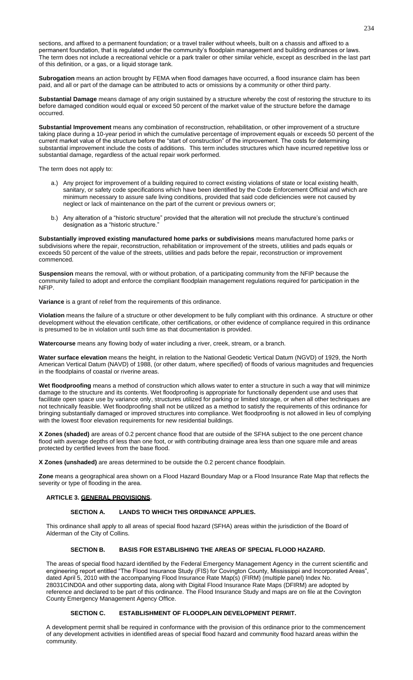sections, and affixed to a permanent foundation; or a travel trailer without wheels, built on a chassis and affixed to a permanent foundation, that is regulated under the community's floodplain management and building ordinances or laws. The term does not include a recreational vehicle or a park trailer or other similar vehicle, except as described in the last part of this definition, or a gas, or a liquid storage tank.

**Subrogation** means an action brought by FEMA when flood damages have occurred, a flood insurance claim has been paid, and all or part of the damage can be attributed to acts or omissions by a community or other third party.

**Substantial Damage** means damage of any origin sustained by a structure whereby the cost of restoring the structure to its before damaged condition would equal or exceed 50 percent of the market value of the structure before the damage occurred.

**Substantial Improvement** means any combination of reconstruction, rehabilitation, or other improvement of a structure taking place during a 10-year period in which the cumulative percentage of improvement equals or exceeds 50 percent of the current market value of the structure before the "start of construction" of the improvement. The costs for determining substantial improvement include the costs of additions. This term includes structures which have incurred repetitive loss or substantial damage, regardless of the actual repair work performed.

The term does not apply to:

- a.) Any project for improvement of a building required to correct existing violations of state or local existing health, sanitary, or safety code specifications which have been identified by the Code Enforcement Official and which are minimum necessary to assure safe living conditions, provided that said code deficiencies were not caused by neglect or lack of maintenance on the part of the current or previous owners or;
- b.) Any alteration of a "historic structure" provided that the alteration will not preclude the structure's continued designation as a "historic structure."

**Substantially improved existing manufactured home parks or subdivisions** means manufactured home parks or subdivisions where the repair, reconstruction, rehabilitation or improvement of the streets, utilities and pads equals or exceeds 50 percent of the value of the streets, utilities and pads before the repair, reconstruction or improvement commenced.

**Suspension** means the removal, with or without probation, of a participating community from the NFIP because the community failed to adopt and enforce the compliant floodplain management regulations required for participation in the NFIP.

**Variance** is a grant of relief from the requirements of this ordinance.

**Violation** means the failure of a structure or other development to be fully compliant with this ordinance. A structure or other development without the elevation certificate, other certifications, or other evidence of compliance required in this ordinance is presumed to be in violation until such time as that documentation is provided.

**Watercourse** means any flowing body of water including a river, creek, stream, or a branch.

**Water surface elevation** means the height, in relation to the National Geodetic Vertical Datum (NGVD) of 1929, the North American Vertical Datum (NAVD) of 1988, (or other datum, where specified) of floods of various magnitudes and frequencies in the floodplains of coastal or riverine areas.

**Wet floodproofing** means a method of construction which allows water to enter a structure in such a way that will minimize damage to the structure and its contents. Wet floodproofing is appropriate for functionally dependent use and uses that facilitate open space use by variance only, structures utilized for parking or limited storage, or when all other techniques are not technically feasible. Wet floodproofing shall not be utilized as a method to satisfy the requirements of this ordinance for bringing substantially damaged or improved structures into compliance. Wet floodproofing is not allowed in lieu of complying with the lowest floor elevation requirements for new residential buildings.

**X Zones (shaded)** are areas of 0.2 percent chance flood that are outside of the SFHA subject to the one percent chance flood with average depths of less than one foot, or with contributing drainage area less than one square mile and areas protected by certified levees from the base flood.

**X Zones (unshaded)** are areas determined to be outside the 0.2 percent chance floodplain.

**Zone** means a geographical area shown on a Flood Hazard Boundary Map or a Flood Insurance Rate Map that reflects the severity or type of flooding in the area.

# **ARTICLE 3. GENERAL PROVISIONS.**

### **SECTION A. LANDS TO WHICH THIS ORDINANCE APPLIES.**

This ordinance shall apply to all areas of special flood hazard (SFHA) areas within the jurisdiction of the Board of Alderman of the City of Collins.

### **SECTION B. BASIS FOR ESTABLISHING THE AREAS OF SPECIAL FLOOD HAZARD.**

The areas of special flood hazard identified by the Federal Emergency Management Agency in the current scientific and engineering report entitled "The Flood Insurance Study (FIS) for Covington County, Mississippi and Incorporated Areas", dated April 5, 2010 with the accompanying Flood Insurance Rate Map(s) (FIRM) (multiple panel) Index No. 28031CIND0A and other supporting data, along with Digital Flood Insurance Rate Maps (DFIRM) are adopted by reference and declared to be part of this ordinance. The Flood Insurance Study and maps are on file at the Covington County Emergency Management Agency Office.

### **SECTION C. ESTABLISHMENT OF FLOODPLAIN DEVELOPMENT PERMIT.**

A development permit shall be required in conformance with the provision of this ordinance prior to the commencement of any development activities in identified areas of special flood hazard and community flood hazard areas within the community.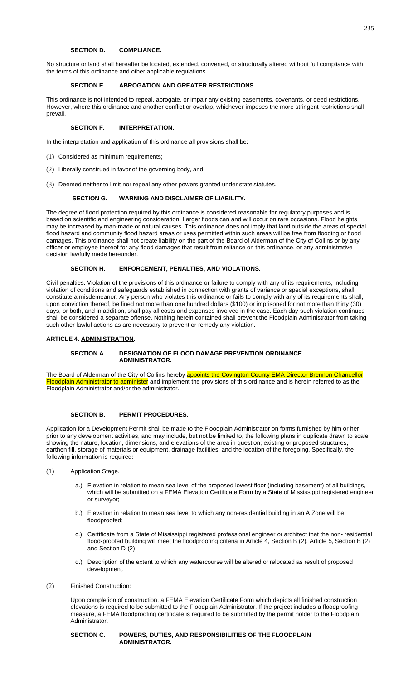# **SECTION D. COMPLIANCE.**

No structure or land shall hereafter be located, extended, converted, or structurally altered without full compliance with the terms of this ordinance and other applicable regulations.

# **SECTION E. ABROGATION AND GREATER RESTRICTIONS.**

This ordinance is not intended to repeal, abrogate, or impair any existing easements, covenants, or deed restrictions. However, where this ordinance and another conflict or overlap, whichever imposes the more stringent restrictions shall prevail.

# **SECTION F. INTERPRETATION.**

In the interpretation and application of this ordinance all provisions shall be:

- (1) Considered as minimum requirements;
- (2) Liberally construed in favor of the governing body, and;
- (3) Deemed neither to limit nor repeal any other powers granted under state statutes.

### **SECTION G. WARNING AND DISCLAIMER OF LIABILITY.**

The degree of flood protection required by this ordinance is considered reasonable for regulatory purposes and is based on scientific and engineering consideration. Larger floods can and will occur on rare occasions. Flood heights may be increased by man-made or natural causes. This ordinance does not imply that land outside the areas of special flood hazard and community flood hazard areas or uses permitted within such areas will be free from flooding or flood damages. This ordinance shall not create liability on the part of the Board of Alderman of the City of Collins or by any officer or employee thereof for any flood damages that result from reliance on this ordinance, or any administrative decision lawfully made hereunder.

# **SECTION H. ENFORCEMENT, PENALTIES, AND VIOLATIONS.**

Civil penalties. Violation of the provisions of this ordinance or failure to comply with any of its requirements, including violation of conditions and safeguards established in connection with grants of variance or special exceptions, shall constitute a misdemeanor. Any person who violates this ordinance or fails to comply with any of its requirements shall, upon conviction thereof, be fined not more than one hundred dollars (\$100) or imprisoned for not more than thirty (30) days, or both, and in addition, shall pay all costs and expenses involved in the case. Each day such violation continues shall be considered a separate offense. Nothing herein contained shall prevent the Floodplain Administrator from taking such other lawful actions as are necessary to prevent or remedy any violation.

### **ARTICLE 4. ADMINISTRATION.**

### **SECTION A. DESIGNATION OF FLOOD DAMAGE PREVENTION ORDINANCE ADMINISTRATOR.**

The Board of Alderman of the City of Collins hereby appoints the Covington County EMA Director Brennon Chancellor Floodplain Administrator to administer and implement the provisions of this ordinance and is herein referred to as the Floodplain Administrator and/or the administrator.

#### **SECTION B. PERMIT PROCEDURES.**

Application for a Development Permit shall be made to the Floodplain Administrator on forms furnished by him or her prior to any development activities, and may include, but not be limited to, the following plans in duplicate drawn to scale showing the nature, location, dimensions, and elevations of the area in question; existing or proposed structures, earthen fill, storage of materials or equipment, drainage facilities, and the location of the foregoing. Specifically, the following information is required:

- (1) Application Stage.
	- a.) Elevation in relation to mean sea level of the proposed lowest floor (including basement) of all buildings, which will be submitted on a FEMA Elevation Certificate Form by a State of Mississippi registered engineer or surveyor;
	- b.) Elevation in relation to mean sea level to which any non-residential building in an A Zone will be floodproofed;
	- c.) Certificate from a State of Mississippi registered professional engineer or architect that the non- residential flood-proofed building will meet the floodproofing criteria in Article 4, Section B (2), Article 5, Section B (2) and Section D (2);
	- d.) Description of the extent to which any watercourse will be altered or relocated as result of proposed development.
- (2) Finished Construction:

Upon completion of construction, a FEMA Elevation Certificate Form which depicts all finished construction elevations is required to be submitted to the Floodplain Administrator. If the project includes a floodproofing measure, a FEMA floodproofing certificate is required to be submitted by the permit holder to the Floodplain Administrator.

### **SECTION C. POWERS, DUTIES, AND RESPONSIBILITIES OF THE FLOODPLAIN ADMINISTRATOR.**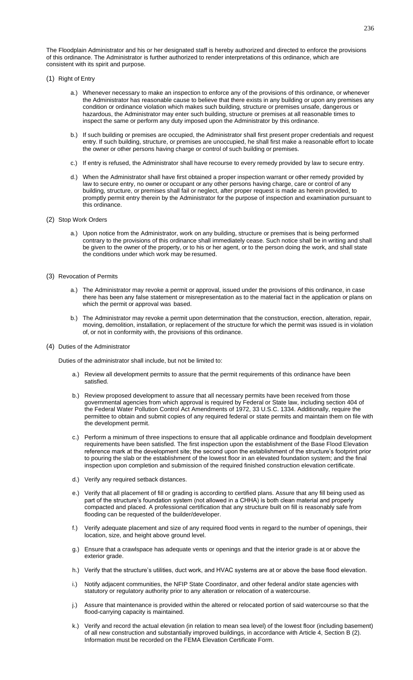The Floodplain Administrator and his or her designated staff is hereby authorized and directed to enforce the provisions of this ordinance. The Administrator is further authorized to render interpretations of this ordinance, which are consistent with its spirit and purpose.

- (1) Right of Entry
	- a.) Whenever necessary to make an inspection to enforce any of the provisions of this ordinance, or whenever the Administrator has reasonable cause to believe that there exists in any building or upon any premises any condition or ordinance violation which makes such building, structure or premises unsafe, dangerous or hazardous, the Administrator may enter such building, structure or premises at all reasonable times to inspect the same or perform any duty imposed upon the Administrator by this ordinance.
	- b.) If such building or premises are occupied, the Administrator shall first present proper credentials and request entry. If such building, structure, or premises are unoccupied, he shall first make a reasonable effort to locate the owner or other persons having charge or control of such building or premises.
	- c.) If entry is refused, the Administrator shall have recourse to every remedy provided by law to secure entry.
	- d.) When the Administrator shall have first obtained a proper inspection warrant or other remedy provided by law to secure entry, no owner or occupant or any other persons having charge, care or control of any building, structure, or premises shall fail or neglect, after proper request is made as herein provided, to promptly permit entry therein by the Administrator for the purpose of inspection and examination pursuant to this ordinance.
- (2) Stop Work Orders
	- a.) Upon notice from the Administrator, work on any building, structure or premises that is being performed contrary to the provisions of this ordinance shall immediately cease. Such notice shall be in writing and shall be given to the owner of the property, or to his or her agent, or to the person doing the work, and shall state the conditions under which work may be resumed.
- (3) Revocation of Permits
	- a.) The Administrator may revoke a permit or approval, issued under the provisions of this ordinance, in case there has been any false statement or misrepresentation as to the material fact in the application or plans on which the permit or approval was based.
	- b.) The Administrator may revoke a permit upon determination that the construction, erection, alteration, repair, moving, demolition, installation, or replacement of the structure for which the permit was issued is in violation of, or not in conformity with, the provisions of this ordinance.
- (4) Duties of the Administrator

Duties of the administrator shall include, but not be limited to:

- a.) Review all development permits to assure that the permit requirements of this ordinance have been satisfied.
- b.) Review proposed development to assure that all necessary permits have been received from those governmental agencies from which approval is required by Federal or State law, including section 404 of the Federal Water Pollution Control Act Amendments of 1972, 33 U.S.C. 1334. Additionally, require the permittee to obtain and submit copies of any required federal or state permits and maintain them on file with the development permit.
- c.) Perform a minimum of three inspections to ensure that all applicable ordinance and floodplain development requirements have been satisfied. The first inspection upon the establishment of the Base Flood Elevation reference mark at the development site; the second upon the establishment of the structure's footprint prior to pouring the slab or the establishment of the lowest floor in an elevated foundation system; and the final inspection upon completion and submission of the required finished construction elevation certificate.
- d.) Verify any required setback distances.
- e.) Verify that all placement of fill or grading is according to certified plans. Assure that any fill being used as part of the structure's foundation system (not allowed in a CHHA) is both clean material and properly compacted and placed. A professional certification that any structure built on fill is reasonably safe from flooding can be requested of the builder/developer.
- f.) Verify adequate placement and size of any required flood vents in regard to the number of openings, their location, size, and height above ground level.
- g.) Ensure that a crawlspace has adequate vents or openings and that the interior grade is at or above the exterior grade.
- h.) Verify that the structure's utilities, duct work, and HVAC systems are at or above the base flood elevation.
- i.) Notify adjacent communities, the NFIP State Coordinator, and other federal and/or state agencies with statutory or regulatory authority prior to any alteration or relocation of a watercourse.
- j.) Assure that maintenance is provided within the altered or relocated portion of said watercourse so that the flood-carrying capacity is maintained.
- k.) Verify and record the actual elevation (in relation to mean sea level) of the lowest floor (including basement) of all new construction and substantially improved buildings, in accordance with Article 4, Section B (2). Information must be recorded on the FEMA Elevation Certificate Form.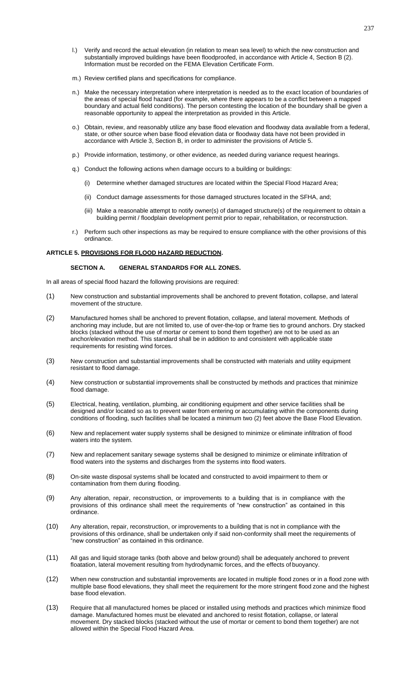- l.) Verify and record the actual elevation (in relation to mean sea level) to which the new construction and substantially improved buildings have been floodproofed, in accordance with Article 4, Section B (2). Information must be recorded on the FEMA Elevation Certificate Form.
- m.) Review certified plans and specifications for compliance.
- n.) Make the necessary interpretation where interpretation is needed as to the exact location of boundaries of the areas of special flood hazard (for example, where there appears to be a conflict between a mapped boundary and actual field conditions). The person contesting the location of the boundary shall be given a reasonable opportunity to appeal the interpretation as provided in this Article.
- o.) Obtain, review, and reasonably utilize any base flood elevation and floodway data available from a federal, state, or other source when base flood elevation data or floodway data have not been provided in accordance with Article 3, Section B, in order to administer the provisions of Article 5.
- p.) Provide information, testimony, or other evidence, as needed during variance request hearings.
- q.) Conduct the following actions when damage occurs to a building or buildings:
	- (i) Determine whether damaged structures are located within the Special Flood Hazard Area;
	- (ii) Conduct damage assessments for those damaged structures located in the SFHA, and;
	- (iii) Make a reasonable attempt to notify owner(s) of damaged structure(s) of the requirement to obtain a building permit / floodplain development permit prior to repair, rehabilitation, or reconstruction.
- r.) Perform such other inspections as may be required to ensure compliance with the other provisions of this ordinance.

### **ARTICLE 5. PROVISIONS FOR FLOOD HAZARD REDUCTION.**

## **SECTION A. GENERAL STANDARDS FOR ALL ZONES.**

In all areas of special flood hazard the following provisions are required:

- (1) New construction and substantial improvements shall be anchored to prevent flotation, collapse, and lateral movement of the structure.
- (2) Manufactured homes shall be anchored to prevent flotation, collapse, and lateral movement. Methods of anchoring may include, but are not limited to, use of over-the-top or frame ties to ground anchors. Dry stacked blocks (stacked without the use of mortar or cement to bond them together) are not to be used as an anchor/elevation method. This standard shall be in addition to and consistent with applicable state requirements for resisting wind forces.
- (3) New construction and substantial improvements shall be constructed with materials and utility equipment resistant to flood damage.
- (4) New construction or substantial improvements shall be constructed by methods and practices that minimize flood damage.
- (5) Electrical, heating, ventilation, plumbing, air conditioning equipment and other service facilities shall be designed and/or located so as to prevent water from entering or accumulating within the components during conditions of flooding, such facilities shall be located a minimum two (2) feet above the Base Flood Elevation.
- (6) New and replacement water supply systems shall be designed to minimize or eliminate infiltration of flood waters into the system.
- (7) New and replacement sanitary sewage systems shall be designed to minimize or eliminate infiltration of flood waters into the systems and discharges from the systems into flood waters.
- (8) On-site waste disposal systems shall be located and constructed to avoid impairment to them or contamination from them during flooding.
- (9) Any alteration, repair, reconstruction, or improvements to a building that is in compliance with the provisions of this ordinance shall meet the requirements of "new construction" as contained in this ordinance.
- (10) Any alteration, repair, reconstruction, or improvements to a building that is not in compliance with the provisions of this ordinance, shall be undertaken only if said non-conformity shall meet the requirements of "new construction" as contained in this ordinance.
- (11) All gas and liquid storage tanks (both above and below ground) shall be adequately anchored to prevent floatation, lateral movement resulting from hydrodynamic forces, and the effects of buoyancy.
- (12) When new construction and substantial improvements are located in multiple flood zones or in a flood zone with multiple base flood elevations, they shall meet the requirement for the more stringent flood zone and the highest base flood elevation.
- (13) Require that all manufactured homes be placed or installed using methods and practices which minimize flood damage. Manufactured homes must be elevated and anchored to resist flotation, collapse, or lateral movement. Dry stacked blocks (stacked without the use of mortar or cement to bond them together) are not allowed within the Special Flood Hazard Area.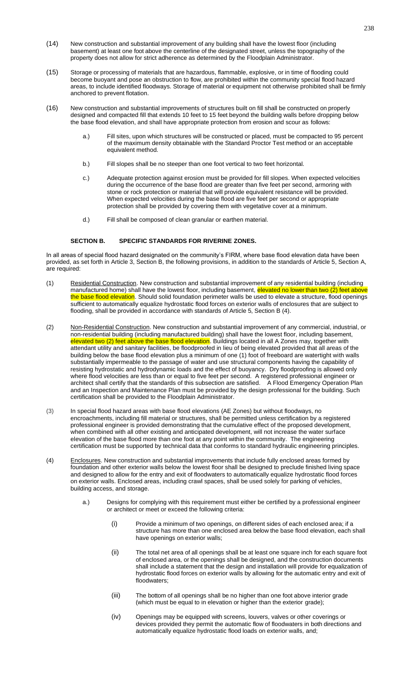- (14) New construction and substantial improvement of any building shall have the lowest floor (including basement) at least one foot above the centerline of the designated street, unless the topography of the property does not allow for strict adherence as determined by the Floodplain Administrator.
- (15) Storage or processing of materials that are hazardous, flammable, explosive, or in time of flooding could become buoyant and pose an obstruction to flow, are prohibited within the community special flood hazard areas, to include identified floodways. Storage of material or equipment not otherwise prohibited shall be firmly anchored to prevent flotation.
- (16) New construction and substantial improvements of structures built on fill shall be constructed on properly designed and compacted fill that extends 10 feet to 15 feet beyond the building walls before dropping below the base flood elevation, and shall have appropriate protection from erosion and scour as follows:
	- a.) Fill sites, upon which structures will be constructed or placed, must be compacted to 95 percent of the maximum density obtainable with the Standard Proctor Test method or an acceptable equivalent method.
	- b.) Fill slopes shall be no steeper than one foot vertical to two feet horizontal.
	- c.) Adequate protection against erosion must be provided for fill slopes. When expected velocities during the occurrence of the base flood are greater than five feet per second, armoring with stone or rock protection or material that will provide equivalent resistance will be provided. When expected velocities during the base flood are five feet per second or appropriate protection shall be provided by covering them with vegetative cover at a minimum.
	- d.) Fill shall be composed of clean granular or earthen material.

#### **SECTION B. SPECIFIC STANDARDS FOR RIVERINE ZONES.**

In all areas of special flood hazard designated on the community's FIRM, where base flood elevation data have been provided, as set forth in Article 3, Section B, the following provisions, in addition to the standards of Article 5, Section A, are required:

- (1) Residential Construction. New construction and substantial improvement of any residential building (including manufactured home) shall have the lowest floor, including basement, elevated no lower than two (2) feet above the base flood elevation. Should solid foundation perimeter walls be used to elevate a structure, flood openings sufficient to automatically equalize hydrostatic flood forces on exterior walls of enclosures that are subject to flooding, shall be provided in accordance with standards of Article 5, Section B (4).
- (2) Non-Residential Construction. New construction and substantial improvement of any commercial, industrial, or non-residential building (including manufactured building) shall have the lowest floor, including basement, elevated two (2) feet above the base flood elevation. Buildings located in all A Zones may, together with attendant utility and sanitary facilities, be floodproofed in lieu of being elevated provided that all areas of the building below the base flood elevation plus a minimum of one (1) foot of freeboard are watertight with walls substantially impermeable to the passage of water and use structural components having the capability of resisting hydrostatic and hydrodynamic loads and the effect of buoyancy. Dry floodproofing is allowed only where flood velocities are less than or equal to five feet per second. A registered professional engineer or architect shall certify that the standards of this subsection are satisfied. A Flood Emergency Operation Plan and an Inspection and Maintenance Plan must be provided by the design professional for the building. Such certification shall be provided to the Floodplain Administrator.
- (3) In special flood hazard areas with base flood elevations (AE Zones) but without floodways, no encroachments, including fill material or structures, shall be permitted unless certification by a registered professional engineer is provided demonstrating that the cumulative effect of the proposed development, when combined with all other existing and anticipated development, will not increase the water surface elevation of the base flood more than one foot at any point within the community. The engineering certification must be supported by technical data that conforms to standard hydraulic engineering principles.
- (4) Enclosures. New construction and substantial improvements that include fully enclosed areas formed by foundation and other exterior walls below the lowest floor shall be designed to preclude finished living space and designed to allow for the entry and exit of floodwaters to automatically equalize hydrostatic flood forces on exterior walls. Enclosed areas, including crawl spaces, shall be used solely for parking of vehicles, building access, and storage.
	- a.) Designs for complying with this requirement must either be certified by a professional engineer or architect or meet or exceed the following criteria:
		- (i) Provide a minimum of two openings, on different sides of each enclosed area; if a structure has more than one enclosed area below the base flood elevation, each shall have openings on exterior walls;
		- (ii) The total net area of all openings shall be at least one square inch for each square foot of enclosed area, or the openings shall be designed, and the construction documents shall include a statement that the design and installation will provide for equalization of hydrostatic flood forces on exterior walls by allowing for the automatic entry and exit of floodwaters;
		- (iii) The bottom of all openings shall be no higher than one foot above interior grade (which must be equal to in elevation or higher than the exterior grade);
		- (iv) Openings may be equipped with screens, louvers, valves or other coverings or devices provided they permit the automatic flow of floodwaters in both directions and automatically equalize hydrostatic flood loads on exterior walls, and;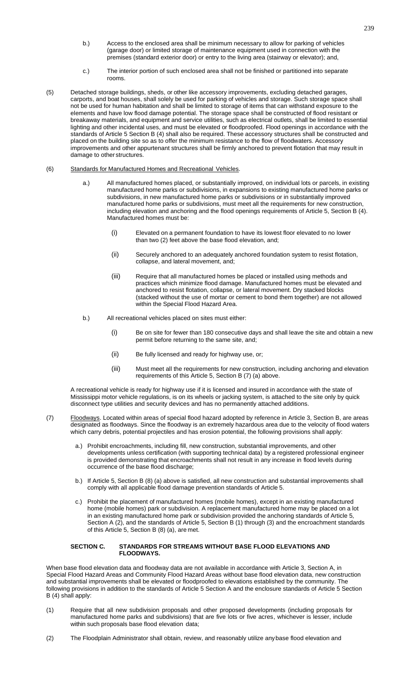- b.) Access to the enclosed area shall be minimum necessary to allow for parking of vehicles (garage door) or limited storage of maintenance equipment used in connection with the premises (standard exterior door) or entry to the living area (stairway or elevator); and,
- c.) The interior portion of such enclosed area shall not be finished or partitioned into separate rooms.
- (5) Detached storage buildings, sheds, or other like accessory improvements, excluding detached garages, carports, and boat houses, shall solely be used for parking of vehicles and storage. Such storage space shall not be used for human habitation and shall be limited to storage of items that can withstand exposure to the elements and have low flood damage potential. The storage space shall be constructed of flood resistant or breakaway materials, and equipment and service utilities, such as electrical outlets, shall be limited to essential lighting and other incidental uses, and must be elevated or floodproofed. Flood openings in accordance with the standards of Article 5 Section B (4) shall also be required. These accessory structures shall be constructed and placed on the building site so as to offer the minimum resistance to the flow of floodwaters. Accessory improvements and other appurtenant structures shall be firmly anchored to prevent flotation that may result in damage to other structures.
- (6) Standards for Manufactured Homes and Recreational Vehicles.
	- a.) All manufactured homes placed, or substantially improved, on individual lots or parcels, in existing manufactured home parks or subdivisions, in expansions to existing manufactured home parks or subdivisions, in new manufactured home parks or subdivisions or in substantially improved manufactured home parks or subdivisions, must meet all the requirements for new construction, including elevation and anchoring and the flood openings requirements of Article 5, Section B (4). Manufactured homes must be:
		- (i) Elevated on a permanent foundation to have its lowest floor elevated to no lower than two (2) feet above the base flood elevation, and;
		- (ii) Securely anchored to an adequately anchored foundation system to resist flotation, collapse, and lateral movement, and;
		- (iii) Require that all manufactured homes be placed or installed using methods and practices which minimize flood damage. Manufactured homes must be elevated and anchored to resist flotation, collapse, or lateral movement. Dry stacked blocks (stacked without the use of mortar or cement to bond them together) are not allowed within the Special Flood Hazard Area.
	- b.) All recreational vehicles placed on sites must either:
		- (i) Be on site for fewer than 180 consecutive days and shall leave the site and obtain a new permit before returning to the same site, and;
		- (ii) Be fully licensed and ready for highway use, or;
		- (iii) Must meet all the requirements for new construction, including anchoring and elevation requirements of this Article 5, Section B (7) (a) above.

A recreational vehicle is ready for highway use if it is licensed and insured in accordance with the state of Mississippi motor vehicle regulations, is on its wheels or jacking system, is attached to the site only by quick disconnect type utilities and security devices and has no permanently attached additions.

- (7) Floodways. Located within areas of special flood hazard adopted by reference in Article 3, Section B, are areas designated as floodways. Since the floodway is an extremely hazardous area due to the velocity of flood waters which carry debris, potential projectiles and has erosion potential, the following provisions shall apply:
	- a.) Prohibit encroachments, including fill, new construction, substantial improvements, and other developments unless certification (with supporting technical data) by a registered professional engineer is provided demonstrating that encroachments shall not result in any increase in flood levels during occurrence of the base flood discharge;
	- b.) If Article 5, Section B (8) (a) above is satisfied, all new construction and substantial improvements shall comply with all applicable flood damage prevention standards of Article 5.
	- c.) Prohibit the placement of manufactured homes (mobile homes), except in an existing manufactured home (mobile homes) park or subdivision. A replacement manufactured home may be placed on a lot in an existing manufactured home park or subdivision provided the anchoring standards of Article 5, Section A (2), and the standards of Article 5, Section B (1) through (3) and the encroachment standards of this Article 5, Section B (8) (a), are met.

# **SECTION C. STANDARDS FOR STREAMS WITHOUT BASE FLOOD ELEVATIONS AND FLOODWAYS.**

When base flood elevation data and floodway data are not available in accordance with Article 3, Section A, in Special Flood Hazard Areas and Community Flood Hazard Areas without base flood elevation data, new construction and substantial improvements shall be elevated or floodproofed to elevations established by the community. The following provisions in addition to the standards of Article 5 Section A and the enclosure standards of Article 5 Section B (4) shall apply:

- (1) Require that all new subdivision proposals and other proposed developments (including proposals for manufactured home parks and subdivisions) that are five lots or five acres, whichever is lesser, include within such proposals base flood elevation data;
- (2) The Floodplain Administrator shall obtain, review, and reasonably utilize anybase flood elevation and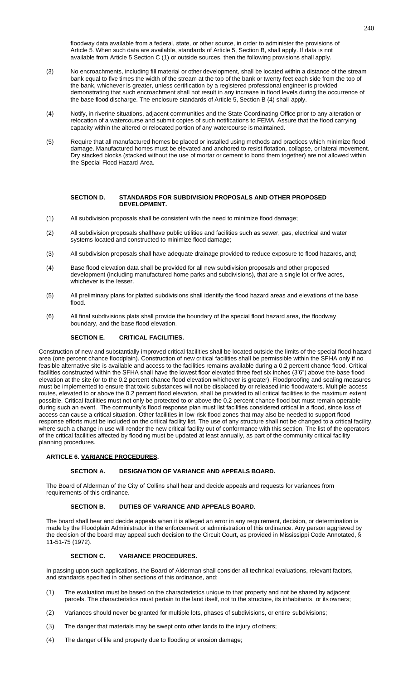floodway data available from a federal, state, or other source, in order to administer the provisions of Article 5. When such data are available, standards of Article 5, Section B, shall apply. If data is not available from Article 5 Section C (1) or outside sources, then the following provisions shall apply.

- (3) No encroachments, including fill material or other development, shall be located within a distance of the stream bank equal to five times the width of the stream at the top of the bank or twenty feet each side from the top of the bank, whichever is greater, unless certification by a registered professional engineer is provided demonstrating that such encroachment shall not result in any increase in flood levels during the occurrence of the base flood discharge. The enclosure standards of Article 5, Section B (4) shall apply.
- (4) Notify, in riverine situations, adjacent communities and the State Coordinating Office prior to any alteration or relocation of a watercourse and submit copies of such notifications to FEMA. Assure that the flood carrying capacity within the altered or relocated portion of any watercourse is maintained.
- (5) Require that all manufactured homes be placed or installed using methods and practices which minimize flood damage. Manufactured homes must be elevated and anchored to resist flotation, collapse, or lateral movement. Dry stacked blocks (stacked without the use of mortar or cement to bond them together) are not allowed within the Special Flood Hazard Area.

#### **SECTION D. STANDARDS FOR SUBDIVISION PROPOSALS AND OTHER PROPOSED DEVELOPMENT.**

- (1) All subdivision proposals shall be consistent with the need to minimize flood damage;
- (2) All subdivision proposals shallhave public utilities and facilities such as sewer, gas, electrical and water systems located and constructed to minimize flood damage;
- (3) All subdivision proposals shall have adequate drainage provided to reduce exposure to flood hazards, and;
- (4) Base flood elevation data shall be provided for all new subdivision proposals and other proposed development (including manufactured home parks and subdivisions), that are a single lot or five acres, whichever is the lesser.
- (5) All preliminary plans for platted subdivisions shall identify the flood hazard areas and elevations of the base flood.
- (6) All final subdivisions plats shall provide the boundary of the special flood hazard area, the floodway boundary, and the base flood elevation.

# **SECTION E. CRITICAL FACILITIES.**

Construction of new and substantially improved critical facilities shall be located outside the limits of the special flood hazard area (one percent chance floodplain). Construction of new critical facilities shall be permissible within the SFHA only if no feasible alternative site is available and access to the facilities remains available during a 0.2 percent chance flood. Critical facilities constructed within the SFHA shall have the lowest floor elevated three feet six inches (3'6") above the base flood elevation at the site (or to the 0.2 percent chance flood elevation whichever is greater). Floodproofing and sealing measures must be implemented to ensure that toxic substances will not be displaced by or released into floodwaters. Multiple access routes, elevated to or above the 0.2 percent flood elevation, shall be provided to all critical facilities to the maximum extent possible. Critical facilities must not only be protected to or above the 0.2 percent chance flood but must remain operable during such an event. The community's flood response plan must list facilities considered critical in a flood, since loss of access can cause a critical situation. Other facilities in low-risk flood zones that may also be needed to support flood response efforts must be included on the critical facility list. The use of any structure shall not be changed to a critical facility, where such a change in use will render the new critical facility out of conformance with this section. The list of the operators of the critical facilities affected by flooding must be updated at least annually, as part of the community critical facility planning procedures.

### **ARTICLE 6. VARIANCE PROCEDURES.**

### **SECTION A. DESIGNATION OF VARIANCE AND APPEALS BOARD.**

The Board of Alderman of the City of Collins shall hear and decide appeals and requests for variances from requirements of this ordinance.

# **SECTION B. DUTIES OF VARIANCE AND APPEALS BOARD.**

The board shall hear and decide appeals when it is alleged an error in any requirement, decision, or determination is made by the Floodplain Administrator in the enforcement or administration of this ordinance. Any person aggrieved by the decision of the board may appeal such decision to the Circuit Court*,* as provided in Mississippi Code Annotated, § 11-51-75 (1972).

# **SECTION C. VARIANCE PROCEDURES.**

In passing upon such applications, the Board of Alderman shall consider all technical evaluations, relevant factors, and standards specified in other sections of this ordinance, and:

- (1) The evaluation must be based on the characteristics unique to that property and not be shared by adjacent parcels. The characteristics must pertain to the land itself, not to the structure, its inhabitants, or its owners;
- (2) Variances should never be granted for multiple lots, phases of subdivisions, or entire subdivisions;
- (3) The danger that materials may be swept onto other lands to the injury of others;
- (4) The danger of life and property due to flooding or erosion damage;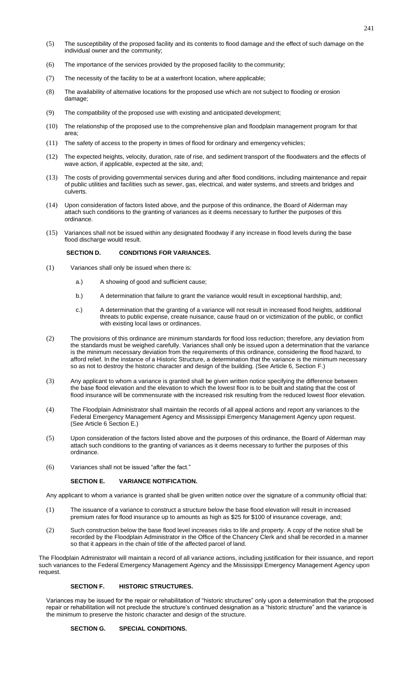- (5) The susceptibility of the proposed facility and its contents to flood damage and the effect of such damage on the individual owner and the community;
- (6) The importance of the services provided by the proposed facility to the community;
- (7) The necessity of the facility to be at a waterfront location, where applicable;
- (8) The availability of alternative locations for the proposed use which are not subject to flooding or erosion damage;
- (9) The compatibility of the proposed use with existing and anticipated development;
- (10) The relationship of the proposed use to the comprehensive plan and floodplain management program for that area;
- (11) The safety of access to the property in times of flood for ordinary and emergency vehicles;
- (12) The expected heights, velocity, duration, rate of rise, and sediment transport of the floodwaters and the effects of wave action, if applicable, expected at the site, and;
- (13) The costs of providing governmental services during and after flood conditions, including maintenance and repair of public utilities and facilities such as sewer, gas, electrical, and water systems, and streets and bridges and culverts.
- (14) Upon consideration of factors listed above, and the purpose of this ordinance, the Board of Alderman may attach such conditions to the granting of variances as it deems necessary to further the purposes of this ordinance.
- (15) Variances shall not be issued within any designated floodway if any increase in flood levels during the base flood discharge would result.

#### **SECTION D. CONDITIONS FOR VARIANCES.**

- (1) Variances shall only be issued when there is:
	- a.) A showing of good and sufficient cause;
	- b.) A determination that failure to grant the variance would result in exceptional hardship, and;
	- c.) A determination that the granting of a variance will not result in increased flood heights, additional threats to public expense, create nuisance, cause fraud on or victimization of the public, or conflict with existing local laws or ordinances.
- (2) The provisions of this ordinance are minimum standards for flood loss reduction; therefore, any deviation from the standards must be weighed carefully. Variances shall only be issued upon a determination that the variance is the minimum necessary deviation from the requirements of this ordinance, considering the flood hazard, to afford relief. In the instance of a Historic Structure, a determination that the variance is the minimum necessary so as not to destroy the historic character and design of the building. (See Article 6, Section F.)
- (3) Any applicant to whom a variance is granted shall be given written notice specifying the difference between the base flood elevation and the elevation to which the lowest floor is to be built and stating that the cost of flood insurance will be commensurate with the increased risk resulting from the reduced lowest floor elevation.
- (4) The Floodplain Administrator shall maintain the records of all appeal actions and report any variances to the Federal Emergency Management Agency and Mississippi Emergency Management Agency upon request. (See Article 6 Section E.)
- (5) Upon consideration of the factors listed above and the purposes of this ordinance, the Board of Alderman may attach such conditions to the granting of variances as it deems necessary to further the purposes of this ordinance.
- (6) Variances shall not be issued "after the fact."

### **SECTION E. VARIANCE NOTIFICATION.**

Any applicant to whom a variance is granted shall be given written notice over the signature of a community official that:

- (1) The issuance of a variance to construct a structure below the base flood elevation will result in increased premium rates for flood insurance up to amounts as high as \$25 for \$100 of insurance coverage, and;
- (2) Such construction below the base flood level increases risks to life and property. A copy of the notice shall be recorded by the Floodplain Administrator in the Office of the Chancery Clerk and shall be recorded in a manner so that it appears in the chain of title of the affected parcel of land.

The Floodplain Administrator will maintain a record of all variance actions, including justification for their issuance, and report such variances to the Federal Emergency Management Agency and the Mississippi Emergency Management Agency upon request.

# **SECTION F. HISTORIC STRUCTURES.**

Variances may be issued for the repair or rehabilitation of "historic structures" only upon a determination that the proposed repair or rehabilitation will not preclude the structure's continued designation as a "historic structure" and the variance is the minimum to preserve the historic character and design of the structure.

# **SECTION G. SPECIAL CONDITIONS.**